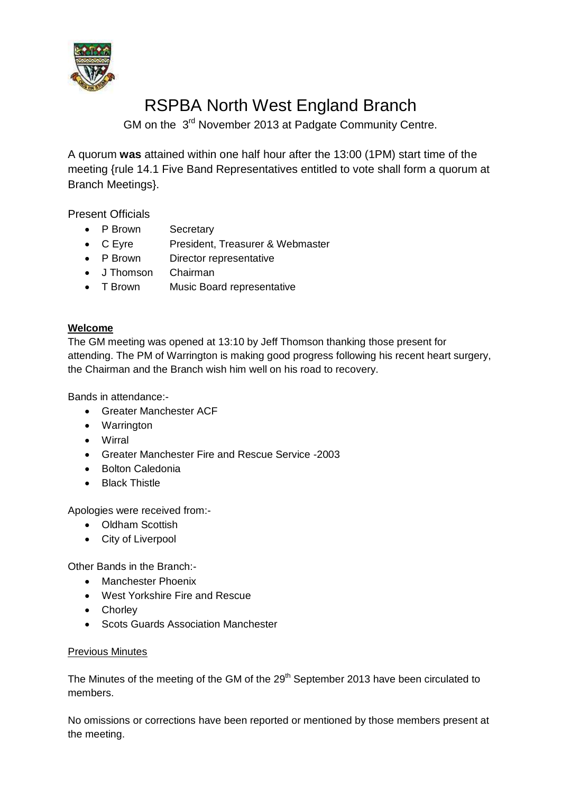

# RSPBA North West England Branch

GM on the 3<sup>rd</sup> November 2013 at Padgate Community Centre.

A quorum **was** attained within one half hour after the 13:00 (1PM) start time of the meeting {rule 14.1 Five Band Representatives entitled to vote shall form a quorum at Branch Meetings}.

Present Officials

- P Brown Secretary
- C Eyre President, Treasurer & Webmaster
- P Brown Director representative
- J Thomson Chairman
- T Brown Music Board representative

# **Welcome**

The GM meeting was opened at 13:10 by Jeff Thomson thanking those present for attending. The PM of Warrington is making good progress following his recent heart surgery, the Chairman and the Branch wish him well on his road to recovery.

Bands in attendance:-

- Greater Manchester ACF
- Warrington
- Wirral
- Greater Manchester Fire and Rescue Service -2003
- Bolton Caledonia
- Black Thistle

Apologies were received from:-

- Oldham Scottish
- City of Liverpool

Other Bands in the Branch:-

- Manchester Phoenix
- West Yorkshire Fire and Rescue
- Chorley
- Scots Guards Association Manchester

### Previous Minutes

The Minutes of the meeting of the GM of the 29<sup>th</sup> September 2013 have been circulated to members.

No omissions or corrections have been reported or mentioned by those members present at the meeting.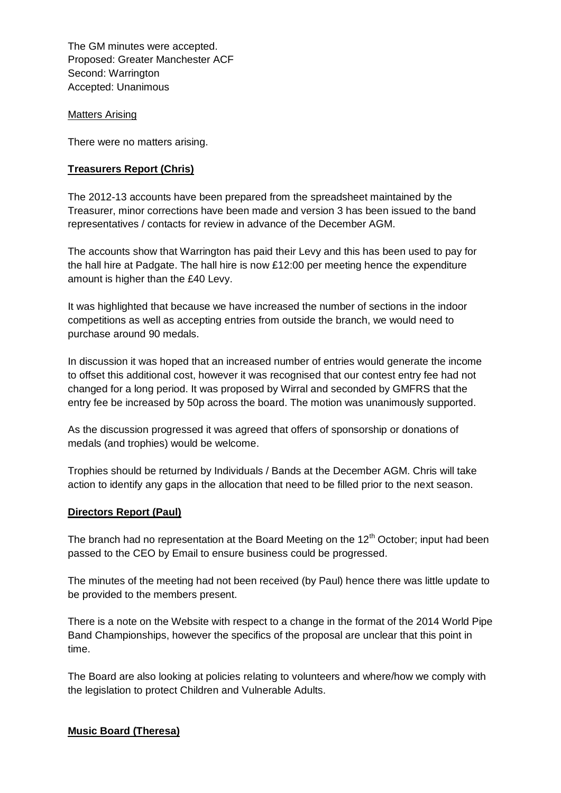The GM minutes were accepted. Proposed: Greater Manchester ACF Second: Warrington Accepted: Unanimous

Matters Arising

There were no matters arising.

#### **Treasurers Report (Chris)**

The 2012-13 accounts have been prepared from the spreadsheet maintained by the Treasurer, minor corrections have been made and version 3 has been issued to the band representatives / contacts for review in advance of the December AGM.

The accounts show that Warrington has paid their Levy and this has been used to pay for the hall hire at Padgate. The hall hire is now £12:00 per meeting hence the expenditure amount is higher than the £40 Levy.

It was highlighted that because we have increased the number of sections in the indoor competitions as well as accepting entries from outside the branch, we would need to purchase around 90 medals.

In discussion it was hoped that an increased number of entries would generate the income to offset this additional cost, however it was recognised that our contest entry fee had not changed for a long period. It was proposed by Wirral and seconded by GMFRS that the entry fee be increased by 50p across the board. The motion was unanimously supported.

As the discussion progressed it was agreed that offers of sponsorship or donations of medals (and trophies) would be welcome.

Trophies should be returned by Individuals / Bands at the December AGM. Chris will take action to identify any gaps in the allocation that need to be filled prior to the next season.

#### **Directors Report (Paul)**

The branch had no representation at the Board Meeting on the  $12<sup>th</sup>$  October; input had been passed to the CEO by Email to ensure business could be progressed.

The minutes of the meeting had not been received (by Paul) hence there was little update to be provided to the members present.

There is a note on the Website with respect to a change in the format of the 2014 World Pipe Band Championships, however the specifics of the proposal are unclear that this point in time.

The Board are also looking at policies relating to volunteers and where/how we comply with the legislation to protect Children and Vulnerable Adults.

#### **Music Board (Theresa)**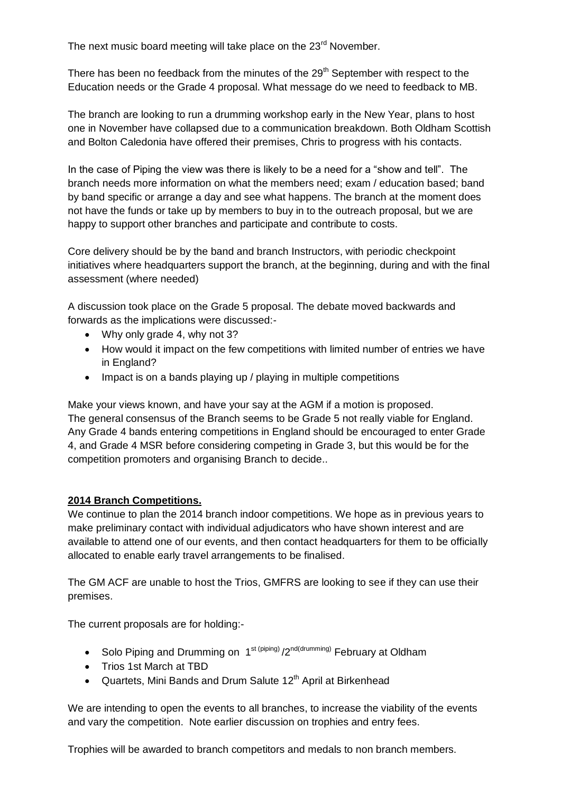The next music board meeting will take place on the 23<sup>rd</sup> November.

There has been no feedback from the minutes of the 29<sup>th</sup> September with respect to the Education needs or the Grade 4 proposal. What message do we need to feedback to MB.

The branch are looking to run a drumming workshop early in the New Year, plans to host one in November have collapsed due to a communication breakdown. Both Oldham Scottish and Bolton Caledonia have offered their premises, Chris to progress with his contacts.

In the case of Piping the view was there is likely to be a need for a "show and tell". The branch needs more information on what the members need; exam / education based; band by band specific or arrange a day and see what happens. The branch at the moment does not have the funds or take up by members to buy in to the outreach proposal, but we are happy to support other branches and participate and contribute to costs.

Core delivery should be by the band and branch Instructors, with periodic checkpoint initiatives where headquarters support the branch, at the beginning, during and with the final assessment (where needed)

A discussion took place on the Grade 5 proposal. The debate moved backwards and forwards as the implications were discussed:-

- Why only grade 4, why not 3?
- How would it impact on the few competitions with limited number of entries we have in England?
- Impact is on a bands playing up / playing in multiple competitions

Make your views known, and have your say at the AGM if a motion is proposed. The general consensus of the Branch seems to be Grade 5 not really viable for England. Any Grade 4 bands entering competitions in England should be encouraged to enter Grade 4, and Grade 4 MSR before considering competing in Grade 3, but this would be for the competition promoters and organising Branch to decide..

#### **2014 Branch Competitions.**

We continue to plan the 2014 branch indoor competitions. We hope as in previous years to make preliminary contact with individual adjudicators who have shown interest and are available to attend one of our events, and then contact headquarters for them to be officially allocated to enable early travel arrangements to be finalised.

The GM ACF are unable to host the Trios, GMFRS are looking to see if they can use their premises.

The current proposals are for holding:-

- Solo Piping and Drumming on 1<sup>st (piping)</sup> /2<sup>nd(drumming)</sup> February at Oldham
- Trios 1st March at TBD
- Quartets, Mini Bands and Drum Salute 12<sup>th</sup> April at Birkenhead

We are intending to open the events to all branches, to increase the viability of the events and vary the competition. Note earlier discussion on trophies and entry fees.

Trophies will be awarded to branch competitors and medals to non branch members.